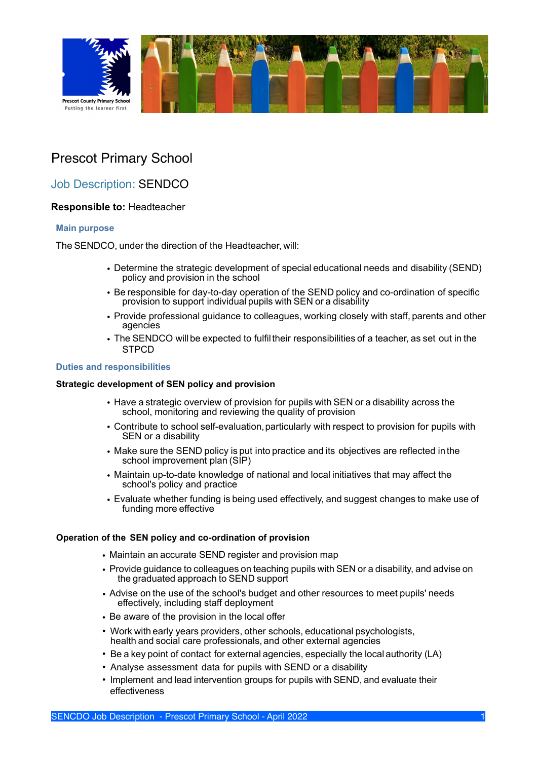

# Prescot Primary School

## Job Description: SENDCO

### **Responsible to:** Headteacher

#### **Main purpose**

The SENDCO, under the direction of the Headteacher, will:

- Determine the strategic development of special educational needs and disability (SEND) policy and provision in the school
- Be responsible for day-to-day operation of the SEND policy and co-ordination of specific provision to support individual pupils with SEN or a disability
- Provide professional guidance to colleagues, working closely with staff, parents and other agencies
- The SENDCO willbe expected to fulfiltheir responsibilities of a teacher, as set out in the **STPCD**

#### **Duties and responsibilities**

#### **Strategic development of SEN policy and provision**

- Have a strategic overview of provision for pupils with SEN or a disability across the school, monitoring and reviewing the quality of provision
- Contribute to school self-evaluation,particularly with respect to provision for pupils with SEN or a disability
- Make sure the SEND policy is put into practice and its objectives are reflected in the school improvement plan (SIP)
- Maintain up-to-date knowledge of national and local initiatives that may affect the school's policy and practice
- Evaluate whether funding is being used effectively, and suggest changes to make use of funding more effective

#### **Operation of the SEN policy and co-ordination of provision**

- Maintain an accurate SEND register and provision map
- Provide guidance to colleagues on teaching pupils with SEN or a disability, and advise on the graduated approach to SEND support
- Advise on the use of the school's budget and other resources to meet pupils' needs effectively, including staff deployment
- Be aware of the provision in the local offer
- Work with early years providers, other schools, educational psychologists, health and social care professionals, and other external agencies
- Be a key point of contact for external agencies, especially the local authority (LA)
- Analyse assessment data for pupils with SEND or a disability
- Implement and lead intervention groups for pupils with SEND, and evaluate their effectiveness